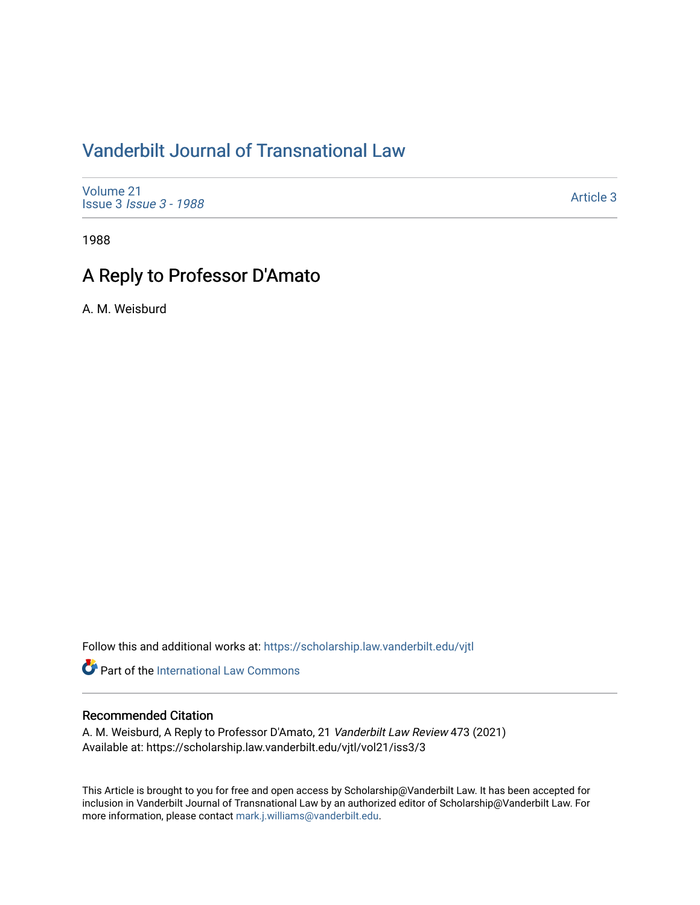# [Vanderbilt Journal of Transnational Law](https://scholarship.law.vanderbilt.edu/vjtl)

[Volume 21](https://scholarship.law.vanderbilt.edu/vjtl/vol21) Issue 3 [Issue 3 - 1988](https://scholarship.law.vanderbilt.edu/vjtl/vol21/iss3)

[Article 3](https://scholarship.law.vanderbilt.edu/vjtl/vol21/iss3/3) 

1988

# A Reply to Professor D'Amato

A. M. Weisburd

Follow this and additional works at: [https://scholarship.law.vanderbilt.edu/vjtl](https://scholarship.law.vanderbilt.edu/vjtl?utm_source=scholarship.law.vanderbilt.edu%2Fvjtl%2Fvol21%2Fiss3%2F3&utm_medium=PDF&utm_campaign=PDFCoverPages) 

Part of the International Law Commons

## Recommended Citation

A. M. Weisburd, A Reply to Professor D'Amato, 21 Vanderbilt Law Review 473 (2021) Available at: https://scholarship.law.vanderbilt.edu/vjtl/vol21/iss3/3

This Article is brought to you for free and open access by Scholarship@Vanderbilt Law. It has been accepted for inclusion in Vanderbilt Journal of Transnational Law by an authorized editor of Scholarship@Vanderbilt Law. For more information, please contact [mark.j.williams@vanderbilt.edu](mailto:mark.j.williams@vanderbilt.edu).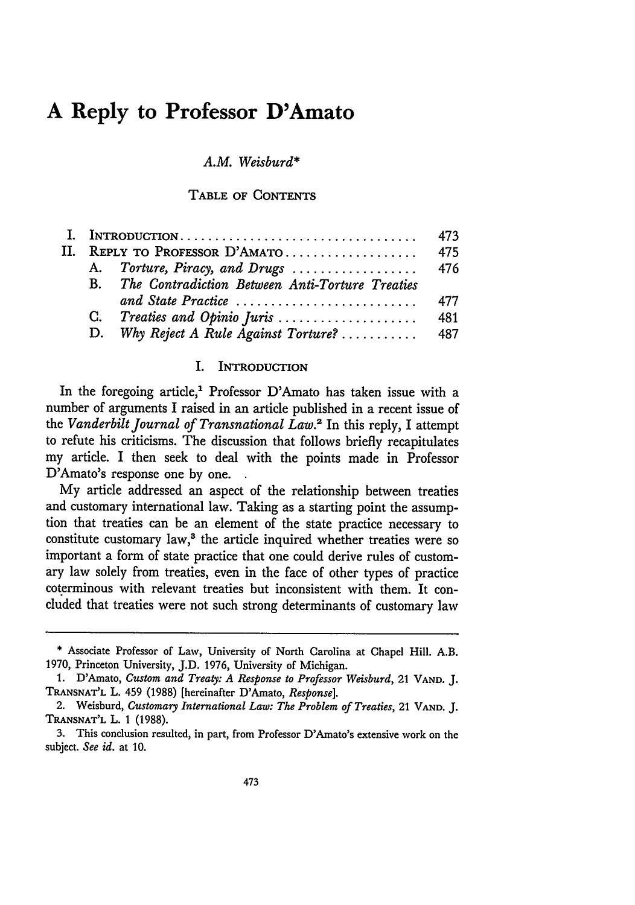# **A Reply to Professor D'Amato**

## *A.M. Weisburd\**

### **TABLE** OF **CONTENTS**

|         |                            |                                                 | 473 |  |
|---------|----------------------------|-------------------------------------------------|-----|--|
| $\Pi$ . | REPLY TO PROFESSOR D'AMATO |                                                 | 475 |  |
|         |                            |                                                 |     |  |
|         | В.                         | The Contradiction Between Anti-Torture Treaties |     |  |
|         |                            | and State Practice                              | 477 |  |
|         |                            | C. Treaties and Opinio Juris                    | 481 |  |
|         |                            |                                                 |     |  |

## I. **INTRODUCTION**

In the foregoing article,' Professor D'Amato has taken issue with a number of arguments I raised in an article published in a recent issue of the *Vanderbilt Journal of Transnational Law.2* In this reply, I attempt to refute his criticisms. The discussion that follows briefly recapitulates my article. I then seek to deal with the points made in Professor D'Amato's response one by one.

My article addressed an aspect of the relationship between treaties and customary international law. Taking as a starting point the assumption that treaties can be an element of the state practice necessary to constitute customary law,<sup>3</sup> the article inquired whether treaties were so important a form of state practice that one could derive rules of customary law solely from treaties, even in the face of other types of practice coterminous with relevant treaties but inconsistent with them. It concluded that treaties were not such strong determinants of customary law

**<sup>\*</sup>** Associate Professor of Law, University of North Carolina at Chapel Hill. A.B. **1970,** Princeton University, **J.D. 1976,** University of Michigan.

**<sup>1.</sup>** D'Amato, *Custom and Treaty: A Response to Professor Weisburd,* 21 **VAND. J. TRANSNAT'L** L. 459 **(1988)** [hereinafter D'Amato, *Response].*

<sup>2.</sup> Weisburd, *Customary International Law: The Problem of Treaties,* 21 **VAND. J. TRANSNAT'L** L. 1 (1988).

<sup>3.</sup> This conclusion resulted, in part, from Professor D'Amato's extensive work on the subject. *See id.* at 10.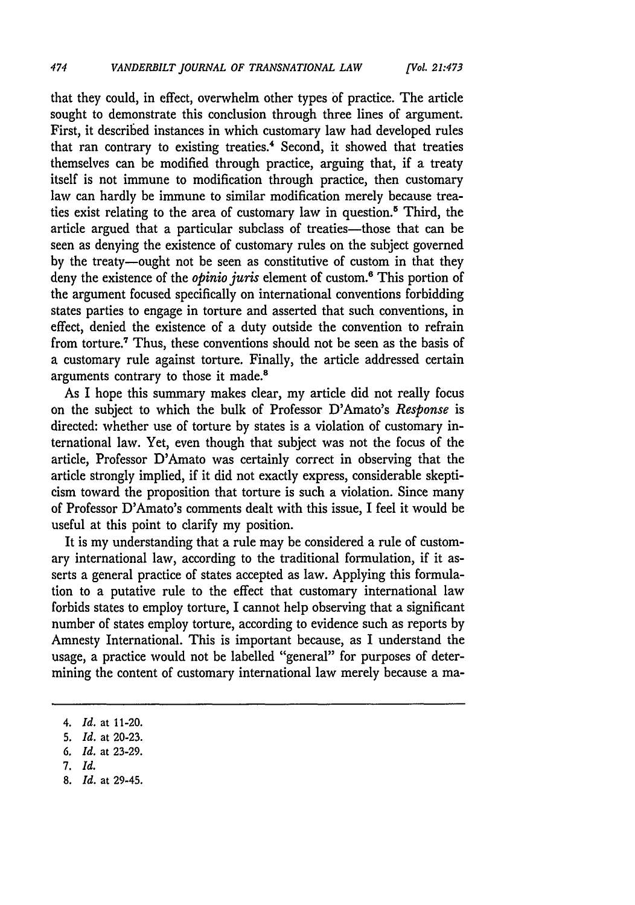that they could, in effect, overwhelm other types of practice. The article sought to demonstrate this conclusion through three lines of argument. First, it described instances in which customary law had developed rules that ran contrary to existing treaties.<sup>4</sup> Second, it showed that treaties themselves can be modified through practice, arguing that, if a treaty itself is not immune to modification through practice, then customary law can hardly be immune to similar modification merely because treaties exist relating to the area of customary law in question.5 Third, the article argued that a particular subclass of treaties-those that can be seen as denying the existence of customary rules on the subject governed by the treaty-ought not be seen as constitutive of custom in that they deny the existence of the *opinio juris* element of custom.<sup>6</sup> This portion of the argument focused specifically on international conventions forbidding states parties to engage in torture and asserted that such conventions, in effect, denied the existence of a duty outside the convention to refrain from torture.7 Thus, these conventions should not be seen as the basis of a customary rule against torture. Finally, the article addressed certain arguments contrary to those it made.<sup>8</sup>

*[Vol. 21:473*

As I hope this summary makes clear, my article did not really focus on the subject to which the bulk of Professor D'Amato's *Response* is directed: whether use of torture by states is a violation of customary international law. Yet, even though that subject was not the focus of the article, Professor D'Amato was certainly correct in observing that the article strongly implied, if it did not exactly express, considerable skepticism toward the proposition that torture is such a violation. Since many of Professor D'Amato's comments dealt with this issue, I feel it would be useful at this point to clarify my position.

It is my understanding that a rule may be considered a rule of customary international law, according to the traditional formulation, if it asserts a general practice of states accepted as law. Applying this formulation to a putative rule to the effect that customary international law forbids states to employ torture, I cannot help observing that a significant number of states employ torture, according to evidence such as reports by Amnesty International. This is important because, as I understand the usage, a practice would not be labelled "general" for purposes of determining the content of customary international law merely because a ma-

*6. Id.* at 23-29.

*<sup>4.</sup> Id.* at 11-20.

<sup>5.</sup> *Id.* at 20-23.

<sup>7.</sup> *Id.*

<sup>8.</sup> *Id.* at 29-45.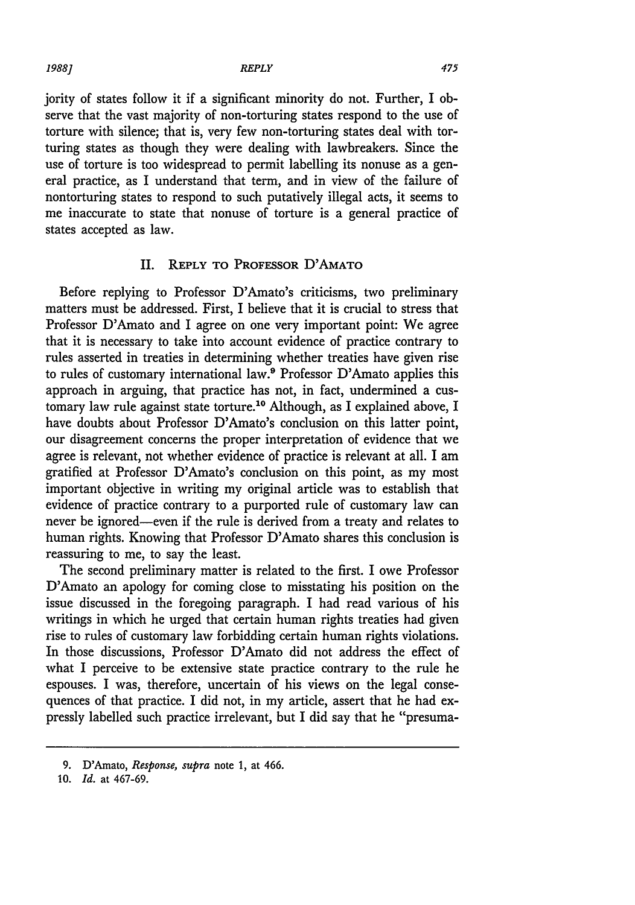#### *1988] REPLY*

475

jority of states follow it if a significant minority do not. Further, I observe that the vast majority of non-torturing states respond to the use of torture with silence; that is, very few non-torturing states deal with torturing states as though they were dealing with lawbreakers. Since the use of torture is too widespread to permit labelling its nonuse as a general practice, as I understand that term, and in view of the failure of nontorturing states to respond to such putatively illegal acts, it seems to me inaccurate to state that nonuse of torture is a general practice of states accepted as law.

## II. **REPLY** TO PROFESSOR **D'AMATO**

Before replying to Professor D'Amato's criticisms, two preliminary matters must be addressed. First, I believe that it is crucial to stress that Professor D'Amato and I agree on one very important point: We agree that it is necessary to take into account evidence of practice contrary to rules asserted in treaties in determining whether treaties have given rise to rules of customary international law.9 Professor D'Amato applies this approach in arguing, that practice has not, in fact, undermined a customary law rule against state torture.<sup>10</sup> Although, as I explained above, I have doubts about Professor D'Amato's conclusion on this latter point, our disagreement concerns the proper interpretation of evidence that we agree is relevant, not whether evidence of practice is relevant at all. I am gratified at Professor D'Amato's conclusion on this point, as my most important objective in writing my original article was to establish that evidence of practice contrary to a purported rule of customary law can never be ignored-even if the rule is derived from a treaty and relates to human rights. Knowing that Professor D'Amato shares this conclusion is reassuring to me, to say the least.

The second preliminary matter is related to the first. I owe Professor D'Amato an apology for coming close to misstating his position on the issue discussed in the foregoing paragraph. I had read various of his writings in which he urged that certain human rights treaties had given rise to rules of customary law forbidding certain human rights violations. In those discussions, Professor D'Amato did not address the effect of what I perceive to be extensive state practice contrary to the rule he espouses. I was, therefore, uncertain of his views on the legal consequences of that practice. I did not, in my article, assert that he had expressly labelled such practice irrelevant, but I did say that he "presuma-

<sup>9.</sup> D'Amato, *Response, supra* note 1, at 466.

**<sup>10.</sup>** *Id.* at 467-69.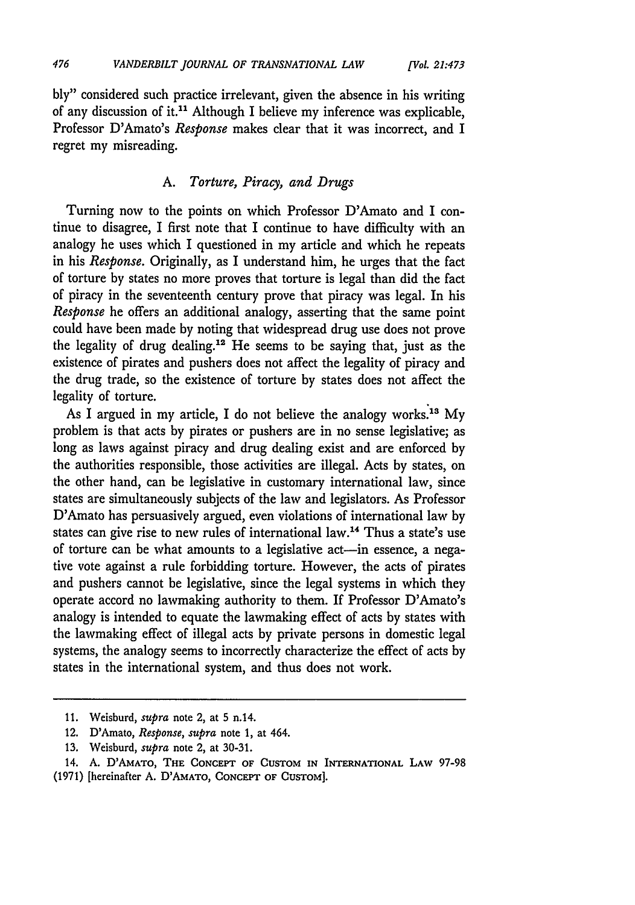bly" considered such practice irrelevant, given the absence in his writing of any discussion of it.11 Although I believe my inference was explicable, Professor D'Amato's *Response* makes clear that it was incorrect, and I regret my misreading.

## A. *Torture, Piracy, and Drugs*

Turning now to the points on which Professor D'Amato and I continue to disagree, I first note that I continue to have difficulty with an analogy he uses which I questioned in my article and which he repeats in his *Response.* Originally, as I understand him, he urges that the fact of torture by states no more proves that torture is legal than did the fact of piracy in the seventeenth century prove that piracy was legal. In his *Response* he offers an additional analogy, asserting that the same point could have been made by noting that widespread drug use does not prove the legality of drug dealing.<sup>12</sup> He seems to be saying that, just as the existence of pirates and pushers does not affect the legality of piracy and the drug trade, so the existence of torture by states does not affect the legality of torture.

As I argued in my article, I do not believe the analogy works.<sup>13</sup> My problem is that acts by pirates or pushers are in no sense legislative; as long as laws against piracy and drug dealing exist and are enforced by the authorities responsible, those activities are illegal. Acts by states, on the other hand, can be legislative in customary international law, since states are simultaneously subjects of the law and legislators. As Professor D'Amato has persuasively argued, even violations of international law by states can give rise to new rules of international law.14 Thus a state's use of torture can be what amounts to a legislative act-in essence, a negative vote against a rule forbidding torture. However, the acts of pirates and pushers cannot be legislative, since the legal systems in which they operate accord no lawmaking authority to them. If Professor D'Amato's analogy is intended to equate the lawmaking effect of acts by states with the lawmaking effect of illegal acts by private persons in domestic legal systems, the analogy seems to incorrectly characterize the effect of acts by states in the international system, and thus does not work.

<sup>11.</sup> Weisburd, *supra* note 2, at 5 n.14.

<sup>12.</sup> D'Amato, *Response, supra* note 1, at 464.

<sup>13.</sup> Weisburd, *supra* note 2, at 30-31.

<sup>14.</sup> **A.** D'AMATO, **THE CONCEPT OF CUSTOM IN** INTERNATIONAL LAW 97-98 (1971) [hereinafter A. D'AMATO, **CONCEPT** OF **CUSTOM].**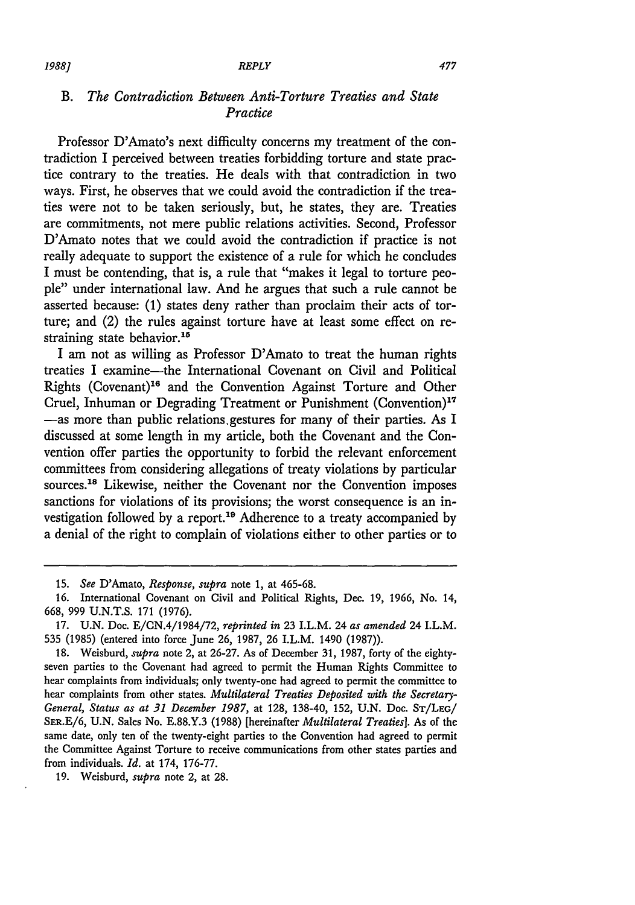## *B. The Contradiction Between Anti-Torture Treaties and State Practice*

Professor D'Amato's next difficulty concerns my treatment of the contradiction I perceived between treaties forbidding torture and state practice contrary to the treaties. He deals with that contradiction in two ways. First, he observes that we could avoid the contradiction if the treaties were not to be taken seriously, but, he states, they are. Treaties are commitments, not mere public relations activities. Second, Professor D'Amato notes that we could avoid the contradiction if practice is not really adequate to support the existence of a rule for which he concludes I must be contending, that is, a rule that "makes it legal to torture people" under international law. And he argues that such a rule cannot be asserted because: (1) states deny rather than proclaim their acts of torture; and (2) the rules against torture have at least some effect on restraining state behavior.<sup>15</sup>

I am not as willing as Professor D'Amato to treat the human rights treaties I examine-the International Covenant on Civil and Political Rights (Covenant)"6 and the Convention Against Torture and Other Cruel, Inhuman or Degrading Treatment or Punishment (Convention)"7 -as more than public relations gestures for many of their parties. As I discussed at some length in my article, both the Covenant and the Convention offer parties the opportunity to forbid the relevant enforcement committees from considering allegations of treaty violations by particular sources.<sup>18</sup> Likewise, neither the Covenant nor the Convention imposes sanctions for violations of its provisions; the worst consequence is an investigation followed by a report.<sup>19</sup> Adherence to a treaty accompanied by a denial of the right to complain of violations either to other parties or to

*19881*

<sup>15.</sup> *See* D'Amato, *Response, supra* note 1, at 465-68.

<sup>16.</sup> International Covenant on Civil and Political Rights, Dec. 19, 1966, No. 14, 668, 999 U.N.T.S. 171 (1976).

<sup>17.</sup> U.N. Doc. E/CN.4/1984/72, *reprinted in* 23 I.L.M. 24 *as amended* 24 I.L.M. 535 (1985) (entered into force June 26, 1987, 26 I.L.M. 1490 (1987)).

<sup>18.</sup> Weisburd, *supra* note 2, at 26-27. As of December 31, 1987, forty of the eightyseven parties to the Covenant had agreed to permit the Human Rights Committee to hear complaints from individuals; only twenty-one had agreed to permit the committee to hear complaints from other states. *Multilateral Treaties Deposited with the Secretay-General, Status as at 31 December 1987,* at 128, 138-40, 152, U.N. Doc. **ST/LEG/** SER.E/6, U.N. Sales No. E.88.Y.3 (1988) [hereinafter *Multilateral Treaties].* As of the same date, only ten of the twenty-eight parties to the Convention had agreed to permit the Committee Against Torture to receive communications from other states parties and from individuals. *Id.* at 174, 176-77.

<sup>19.</sup> Weisburd, *supra* note 2, at 28.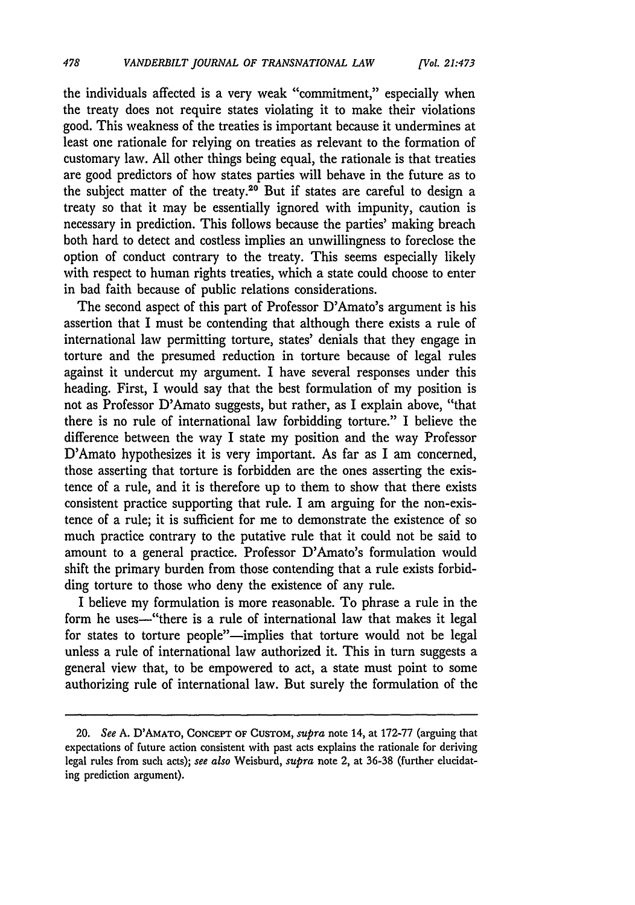the individuals affected is a very weak "commitment," especially when the treaty does not require states violating it to make their violations good. This weakness of the treaties is important because it undermines at least one rationale for relying on treaties as relevant to the formation of customary law. All other things being equal, the rationale is that treaties are good predictors of how states parties will behave in the future as to the subject matter of the treaty.<sup>20</sup> But if states are careful to design a treaty so that it may be essentially ignored with impunity, caution is necessary in prediction. This follows because the parties' making breach both hard to detect and costless implies an unwillingness to foreclose the option of conduct contrary to the treaty. This seems especially likely with respect to human rights treaties, which a state could choose to enter in bad faith because of public relations considerations.

The second aspect of this part of Professor D'Amato's argument is his assertion that I must be contending that although there exists a rule of international law permitting torture, states' denials that they engage in torture and the presumed reduction in torture because of legal rules against it undercut my argument. I have several responses under this heading. First, I would say that the best formulation of my position is not as Professor D'Amato suggests, but rather, as I explain above, "that there is no rule of international law forbidding torture." I believe the difference between the way I state my position and the way Professor D'Amato hypothesizes it is very important. As far as I am concerned, those asserting that torture is forbidden are the ones asserting the existence of a rule, and it is therefore up to them to show that there exists consistent practice supporting that rule. I am arguing for the non-existence of a rule; it is sufficient for me to demonstrate the existence of so much practice contrary to the putative rule that it could not be said to amount to a general practice. Professor D'Amato's formulation would shift the primary burden from those contending that a rule exists forbidding torture to those who deny the existence of any rule.

I believe my formulation is more reasonable. To phrase a rule in the form he uses-"there is a rule of international law that makes it legal for states to torture people"-implies that torture would not be legal unless a rule of international law authorized it. This in turn suggests a general view that, to be empowered to act, a state must point to some authorizing rule of international law. But surely the formulation of the

<sup>20.</sup> See A. D'AMATO, **CONCEPT** OF CusToM, *supra* note 14, at 172-77 (arguing that expectations of future action consistent with past acts explains the rationale for deriving legal rules from such acts); *see also* Weisburd, *supra* note 2, at 36-38 (further elucidating prediction argument).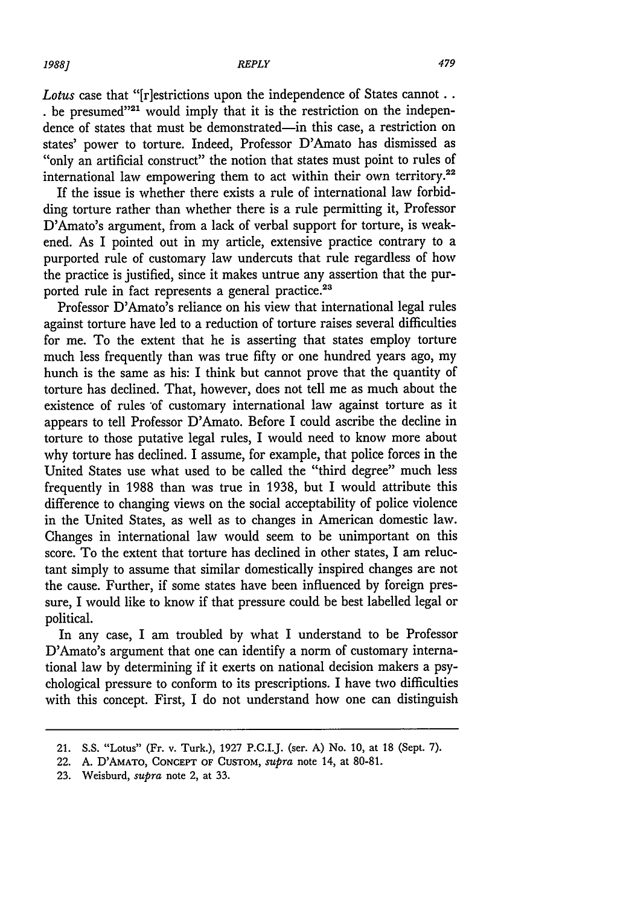*Lotus* case that "[r]estrictions upon the independence of States cannot..  $\cdot$  be presumed"<sup>21</sup> would imply that it is the restriction on the independence of states that must be demonstrated-in this case, a restriction on states' power to torture. Indeed, Professor D'Amato has dismissed as "only an artificial construct" the notion that states must point to rules of international law empowering them to act within their own territory.<sup>22</sup>

If the issue is whether there exists a rule of international law forbidding torture rather than whether there is a rule permitting it, Professor D'Amato's argument, from a lack of verbal support for torture, is weakened. As I pointed out in my article, extensive practice contrary to a purported rule of customary law undercuts that rule regardless of how the practice is justified, since it makes untrue any assertion that the purported rule in fact represents a general practice.<sup>23</sup>

Professor D'Amato's reliance on his view that international legal rules against torture have led to a reduction of torture raises several difficulties for me. To the extent that he is asserting that states employ torture much less frequently than was true fifty or one hundred years ago, my hunch is the same as his: I think but cannot prove that the quantity of torture has declined. That, however, does not tell me as much about the existence of rules 'of customary international law against torture as it appears to tell Professor D'Amato. Before I could ascribe the decline in torture to those putative legal rules, I would need to know more about why torture has declined. I assume, for example, that police forces in the United States use what used to be called the "third degree" much less frequently in 1988 than was true in 1938, but I would attribute this difference to changing views on the social acceptability of police violence in the United States, as well as to changes in American domestic law. Changes in international law would seem to be unimportant on this score. To the extent that torture has declined in other states, I am reluctant simply to assume that similar domestically inspired changes are not the cause. Further, if some states have been influenced by foreign pressure, I would like to know if that pressure could be best labelled legal or political.

In any case, I am troubled by what I understand to be Professor D'Amato's argument that one can identify a norm of customary international law by determining if it exerts on national decision makers a psychological pressure to conform to its prescriptions. I have two difficulties with this concept. First, I do not understand how one can distinguish

<sup>21.</sup> S.S. "Lotus" (Fr. v. Turk.), 1927 P.C.I.J. (ser. A) No. 10, at 18 (Sept. 7).

<sup>22.</sup> A. D'AMATO, **CONCEPT** OF CUSTOM, *supra* note 14, at 80-81.

**<sup>23.</sup>** Weisburd, *supra* note 2, at 33.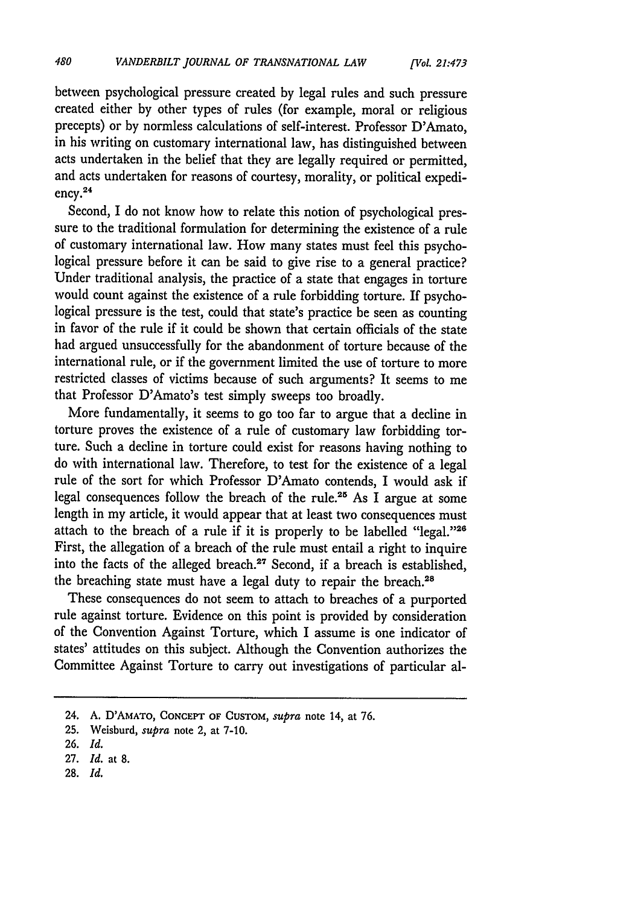between psychological pressure created by legal rules and such pressure created either by other types of rules (for example, moral or religious precepts) or by normless calculations of self-interest. Professor D'Amato, in his writing on customary international law, has distinguished between acts undertaken in the belief that they are legally required or permitted, and acts undertaken for reasons of courtesy, morality, or political expediency.<sup>24</sup>

Second, I do not know how to relate this notion of psychological pressure to the traditional formulation for determining the existence of a rule of customary international law. How many states must feel this psychological pressure before it can be said to give rise to a general practice? Under traditional analysis, the practice of a state that engages in torture would count against the existence of a rule forbidding torture. If psychological pressure is the test, could that state's practice be seen as counting in favor of the rule if it could be shown that certain officials of the state had argued unsuccessfully for the abandonment of torture because of the international rule, or if the government limited the use of torture to more restricted classes of victims because of such arguments? It seems to me that Professor D'Amato's test simply sweeps too broadly.

More fundamentally, it seems to go too far to argue that a decline in torture proves the existence of a rule of customary law forbidding torture. Such a decline in torture could exist for reasons having nothing to do with international law. Therefore, to test for the existence of a legal rule of the sort for which Professor D'Amato contends, I would ask if legal consequences follow the breach of the rule.<sup>25</sup> As I argue at some length in my article, it would appear that at least two consequences must attach to the breach of a rule if it is properly to be labelled "legal."26 First, the allegation of a breach of the rule must entail a right to inquire into the facts of the alleged breach.<sup>27</sup> Second, if a breach is established, the breaching state must have a legal duty to repair the breach.<sup>28</sup>

These consequences do not seem to attach to breaches of a purported rule against torture. Evidence on this point is provided by consideration of the Convention Against Torture, which I assume is one indicator of states' attitudes on this subject. Although the Convention authorizes the Committee Against Torture to carry out investigations of particular al-

<sup>24.</sup> A. D'AMATo, CONCEPT **OF** CusToM, *supra* note 14, at **76.**

<sup>25.</sup> Weisburd, *supra* note 2, at 7-10.

<sup>26.</sup> *Id.*

<sup>27.</sup> *Id.* at **8.**

<sup>28.</sup> *Id.*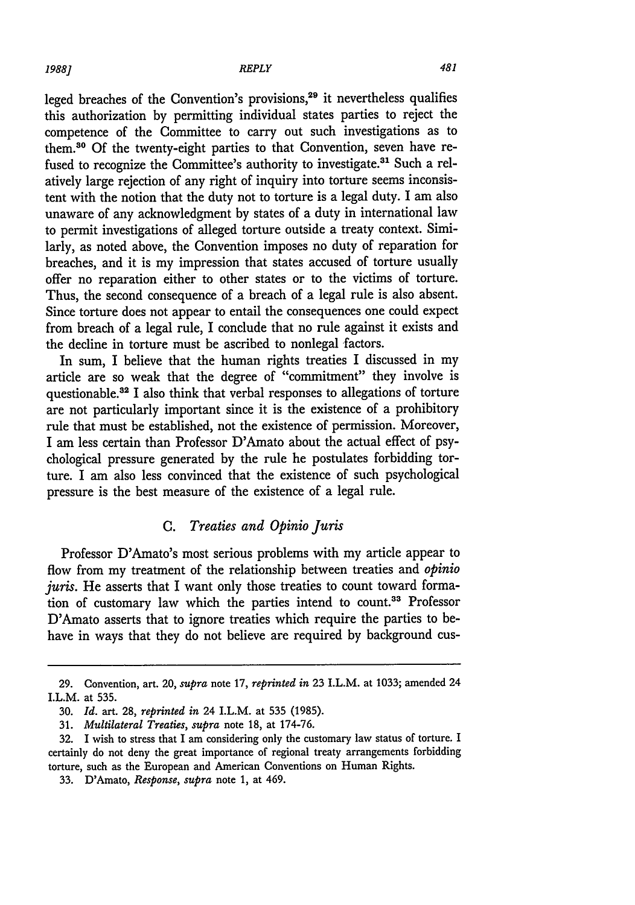leged breaches of the Convention's provisions,<sup>29</sup> it nevertheless qualifies this authorization by permitting individual states parties to reject the competence of the Committee to carry out such investigations as to them.30 Of the twenty-eight parties to that Convention, seven have refused to recognize the Committee's authority to investigate.<sup>31</sup> Such a relatively large rejection of any right of inquiry into torture seems inconsistent with the notion that the duty not to torture is a legal duty. I am also unaware of any acknowledgment by states of a duty in international law to permit investigations of alleged torture outside a treaty context. Similarly, as noted above, the Convention imposes no duty of reparation for breaches, and it is my impression that states accused of torture usually offer no reparation either to other states or to the victims of torture. Thus, the second consequence of a breach of a legal rule is also absent. Since torture does not appear to entail the consequences one could expect from breach of a legal rule, I conclude that no rule against it exists and the decline in torture must be ascribed to nonlegal factors.

In sum, I believe that the human rights treaties I discussed in my article are so weak that the degree of "commitment" they involve is questionable.<sup>32</sup> I also think that verbal responses to allegations of torture are not particularly important since it is the existence of a prohibitory rule that must be established, not the existence of permission. Moreover, I am less certain than Professor D'Amato about the actual effect of psychological pressure generated by the rule he postulates forbidding torture. I am also less convinced that the existence of such psychological pressure is the best measure of the existence of a legal rule.

## *C. Treaties and Opinio Juris*

Professor D'Amato's most serious problems with my article appear to flow from my treatment of the relationship between treaties and *opinio* juris. He asserts that I want only those treaties to count toward formation of customary law which the parties intend to count.<sup>33</sup> Professor D'Amato asserts that to ignore treaties which require the parties to behave in ways that they do not believe are required by background cus-

<sup>29.</sup> Convention, art. 20, *supra* note 17, *reprinted in* 23 LL.M. at 1033; amended 24 I.L.M. at 535.

<sup>30.</sup> *Id.* art. 28, *reprinted in* 24 I.L.M. at 535 (1985).

<sup>31.</sup> *Multilateral Treaties, supra* note 18, at 174-76.

<sup>32.</sup> I wish to stress that I am considering only the customary law status of torture. I certainly do not deny the great importance of regional treaty arrangements forbidding torture, such as the European and American Conventions on Human Rights.

<sup>33.</sup> D'Amato, *Response, supra* note 1, at 469.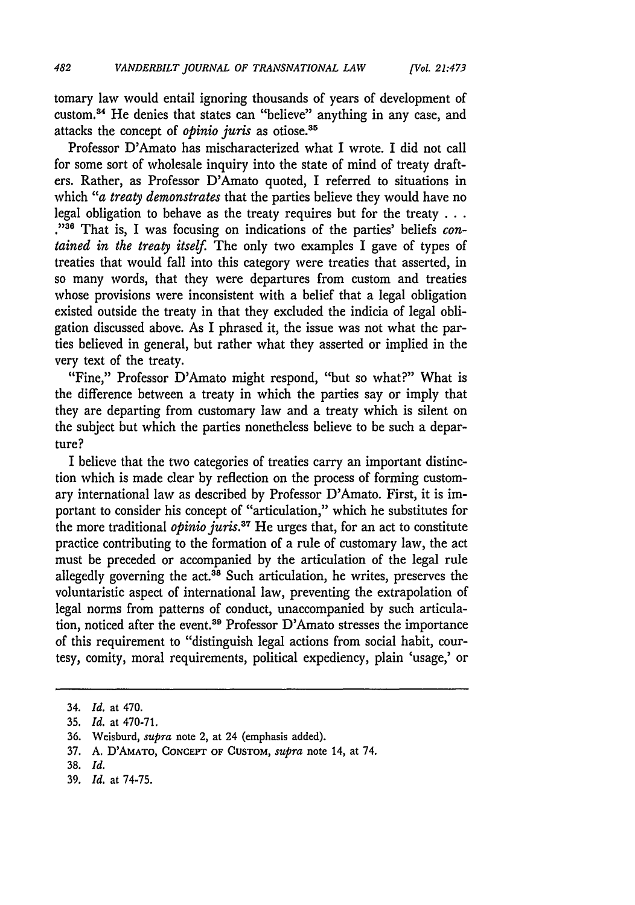*[Vol. 21:473*

tomary law would entail ignoring thousands of years of development of custom. 4 He denies that states can "believe" anything in any case, and attacks the concept of *opinio juris* as otiose.<sup>35</sup>

Professor D'Amato has mischaracterized what I wrote. I did not call for some sort of wholesale inquiry into the state of mind of treaty drafters. Rather, as Professor D'Amato quoted, I referred to situations in which *"a treaty demonstrates* that the parties believe they would have no legal obligation to behave as the treaty requires but for the treaty **. . . "36** That is, I was focusing on indications of the parties' beliefs *contained in the treaty itself.* The only two examples I gave of types of treaties that would fall into this category were treaties that asserted, in so many words, that they were departures from custom and treaties whose provisions were inconsistent with a belief that a legal obligation existed outside the treaty in that they excluded the indicia of legal obligation discussed above. As I phrased it, the issue was not what the parties believed in general, but rather what they asserted or implied in the very text of the treaty.

"Fine," Professor D'Amato might respond, "but so what?" What is the difference between a treaty in which the parties say or imply that they are departing from customary law and a treaty which is silent on the subject but which the parties nonetheless believe to be such a departure?

I believe that the two categories of treaties carry an important distinction which is made clear by reflection on the process of forming customary international law as described by Professor D'Amato. First, it is important to consider his concept of "articulation," which he substitutes for the more traditional *opinio juris*.<sup>37</sup> He urges that, for an act to constitute practice contributing to the formation of a rule of customary law, the act must be preceded or accompanied by the articulation of the legal rule allegedly governing the  $act<sup>38</sup>$  Such articulation, he writes, preserves the voluntaristic aspect of international law, preventing the extrapolation of legal norms from patterns of conduct, unaccompanied by such articulation, noticed after the event.<sup>39</sup> Professor D'Amato stresses the importance of this requirement to "distinguish legal actions from social habit, courtesy, comity, moral requirements, political expediency, plain 'usage,' or

<sup>34.</sup> *Id.* at 470.

<sup>35.</sup> *Id.* at 470-71.

<sup>36.</sup> Weisburd, *supra* note 2, at 24 (emphasis added).

<sup>37.</sup> A. D'AMATO, **CONCEPT** OF CUSTOM, *supra* note 14, at 74.

<sup>38.</sup> *Id.*

<sup>39.</sup> *Id.* at 74-75.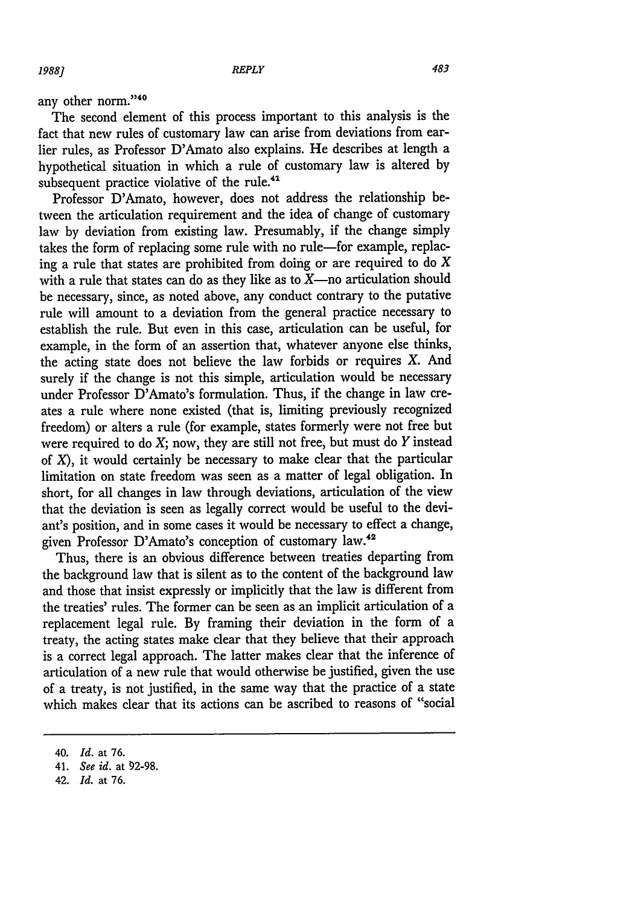any other norm."40

The second element of this process important to this analysis is the fact that new rules of customary law can arise from deviations from earlier rules, as Professor D'Amato also explains. He describes at length a hypothetical situation in which a rule of customary law is altered by subsequent practice violative of the rule.<sup>41</sup>

Professor D'Amato, however, does not address the relationship between the articulation requirement and the idea of change of customary law by deviation from existing law. Presumably, if the change simply takes the form of replacing some rule with no rule-for example, replacing a rule that states are prohibited from doing or are required to do *X* with a rule that states can do as they like as to  $X$ -no articulation should be necessary, since, as noted above, any conduct contrary to the putative rule will amount to a deviation from the general practice necessary to establish the rule. But even in this case, articulation can be useful, for example, in the form of an assertion that, whatever anyone else thinks, the acting state does not believe the law forbids or requires X. And surely if the change is not this simple, articulation would be necessary under Professor D'Amato's formulation. Thus, if the change in law creates a rule where none existed (that is, limiting previously recognized freedom) or alters a rule (for example, states formerly were not free but were required to do  $X$ ; now, they are still not free, but must do  $Y$  instead of  $X$ ), it would certainly be necessary to make clear that the particular limitation on state freedom was seen as a matter of legal obligation. In short, for all changes in law through deviations, articulation of the view that the deviation is seen as legally correct would be useful to the deviant's position, and in some cases it would be necessary to effect a change, given Professor D'Amato's conception of customary law.<sup>42</sup>

Thus, there is an obvious difference between treaties departing from the background law that is silent as to the content of the background law and those that insist expressly or implicitly that the law is different from the treaties' rules. The former can be seen as an implicit articulation of a replacement legal rule. By framing their deviation in the form of a treaty, the acting states make clear that they believe that their approach is a correct legal approach. The latter makes clear that the inference of articulation of a new rule that would otherwise be justified, given the use of a treaty, is not justified, in the same way that the practice of a state which makes clear that its actions can be ascribed to reasons of "social

<sup>40.</sup> *Id.* at 76.

<sup>41.</sup> *See id.* at 92-98.

<sup>42.</sup> *Id.* at 76.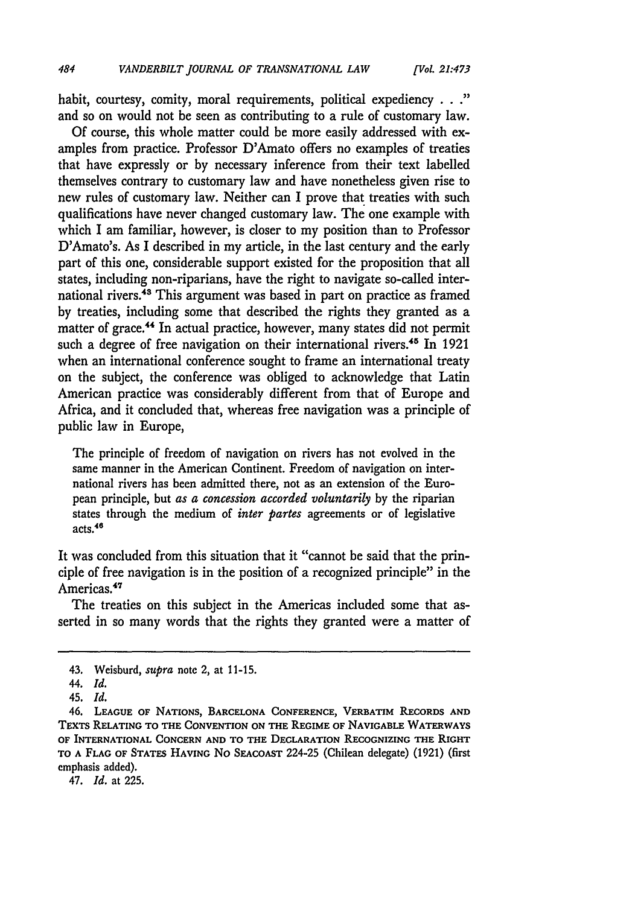habit, courtesy, comity, moral requirements, political expediency . **.."** and so on would not be seen as contributing to a rule of customary law.

Of course, this whole matter could be more easily addressed with examples from practice. Professor D'Amato offers no examples of treaties that have expressly or by necessary inference from their text labelled themselves contrary to customary law and have nonetheless given rise to new rules of customary law. Neither can I prove that treaties with such qualifications have never changed customary law. The one example with which I am familiar, however, is closer to my position than to Professor D'Amato's. As I described in my article, in the last century and the early part of this one, considerable support existed for the proposition that all states, including non-riparians, have the right to navigate so-called international rivers.43 This argument was based in part on practice as framed by treaties, including some that described the rights they granted as a matter of grace.<sup>44</sup> In actual practice, however, many states did not permit such a degree of free navigation on their international rivers.<sup>45</sup> In 1921 when an international conference sought to frame an international treaty on the subject, the conference was obliged to acknowledge that Latin American practice was considerably different from that of Europe and Africa, and it concluded that, whereas free navigation was a principle of public law in Europe,

The principle of freedom of navigation on rivers has not evolved in the same manner in the American Continent. Freedom of navigation on international rivers has been admitted there, not as an extension of the European principle, but *as a concession accorded voluntarily* **by** the riparian states through the medium of *inter partes* agreements or of legislative acts.46

It was concluded from this situation that it "cannot be said that the principle of free navigation is in the position of a recognized principle" in the Americas.<sup>47</sup>

The treaties on this subject in the Americas included some that asserted in so many words that the rights they granted were a matter of

47. *Id.* at 225.

<sup>43.</sup> Weisburd, *supra* note 2, at 11-15.

<sup>44.</sup> *Id.*

<sup>45.</sup> *Id.*

<sup>46.</sup> **LEAGUE OF** NATIONS, **BARCELONA CONFERENCE, VERBATIM RECORDS AND TEXTS RELATING TO THE CONVENTION ON THE** REGIME **OF NAVIGABLE WATERWAYS OF INTERNATIONAL CONCERN AND TO THE DECLARATION RECOGNIZING** THE **RIGHT TO A FLAG OF** STATES **HAVING** No SEACOAST 224-25 (Chilean delegate) (1921) (first emphasis added).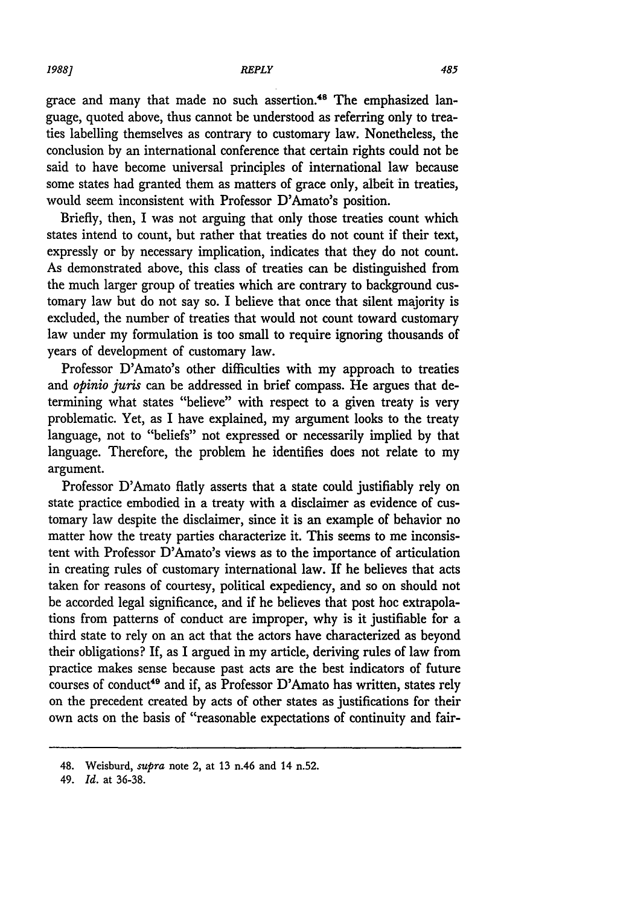grace and many that made no such assertion. 48 The emphasized language, quoted above, thus cannot be understood as referring only to treaties labelling themselves as contrary to customary law. Nonetheless, the conclusion by an international conference that certain rights could not be said to have become universal principles of international law because some states had granted them as matters of grace only, albeit in treaties, would seem inconsistent with Professor D'Amato's position.

Briefly, then, I was not arguing that only those treaties count which states intend to count, but rather that treaties do not count if their text, expressly or by necessary implication, indicates that they do not count. As demonstrated above, this class of treaties can be distinguished from the much larger group of treaties which are contrary to background customary law but do not say so. I believe that once that silent majority is excluded, the number of treaties that would not count toward customary law under my formulation is too small to require ignoring thousands of years of development of customary law.

Professor D'Amato's other difficulties with my approach to treaties and *opinio juris* can be addressed in brief compass. He argues that determining what states "believe" with respect to a given treaty is very problematic. Yet, as I have explained, my argument looks to the treaty language, not to "beliefs" not expressed or necessarily implied by that language. Therefore, the problem he identifies does not relate to my argument.

Professor D'Amato flatly asserts that a state could justifiably rely on state practice embodied in a treaty with a disclaimer as evidence of customary law despite the disclaimer, since it is an example of behavior no matter how the treaty parties characterize it. This seems to me inconsistent with Professor D'Amato's views as to the importance of articulation in creating rules of customary international law. If he believes that acts taken for reasons of courtesy, political expediency, and so on should not be accorded legal significance, and if he believes that post hoc extrapolations from patterns of conduct are improper, why is it justifiable for a third state to rely on an act that the actors have characterized as beyond their obligations? If, as I argued in my article, deriving rules of law from practice makes sense because past acts are the best indicators of future courses of conduct<sup>49</sup> and if, as Professor D'Amato has written, states rely on the precedent created by acts of other states as justifications for their own acts on the basis of "reasonable expectations of continuity and fair-

<sup>48.</sup> Weisburd, supra note 2, at **13** n.46 and 14 n.52.

<sup>49.</sup> *Id.* at 36-38.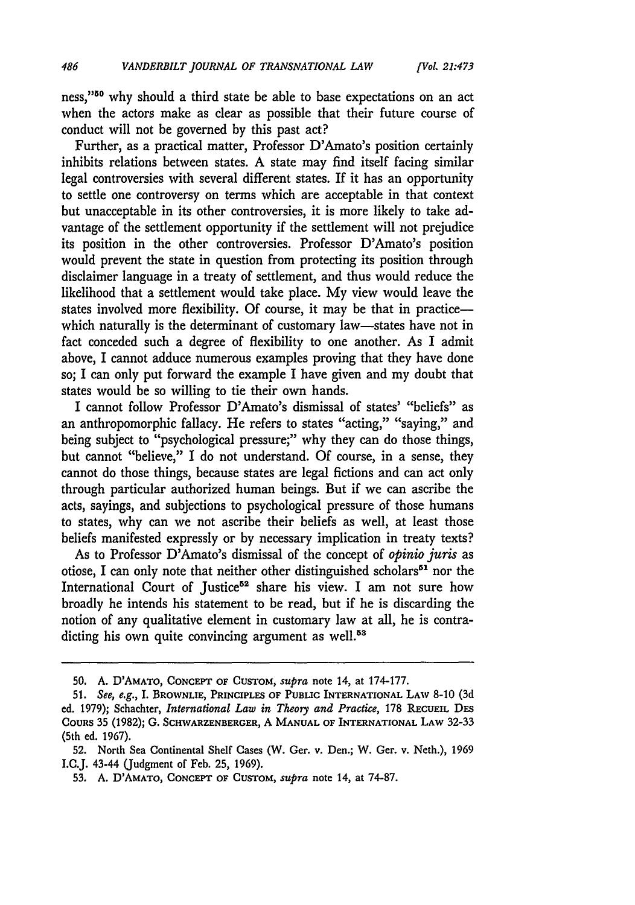ness,"<sup>50</sup> why should a third state be able to base expectations on an act when the actors make as clear as possible that their future course of conduct will not be governed by this past act?

Further, as a practical matter, Professor D'Amato's position certainly inhibits relations between states. A state may find itself facing similar legal controversies with several different states. If it has an opportunity to settle one controversy on terms which are acceptable in that context but unacceptable in its other controversies, it is more likely to take advantage of the settlement opportunity if the settlement will not prejudice its position in the other controversies. Professor D'Amato's position would prevent the state in question from protecting its position through disclaimer language in a treaty of settlement, and thus would reduce the likelihood that a settlement would take place. My view would leave the states involved more flexibility. Of course, it may be that in practicewhich naturally is the determinant of customary law-states have not in fact conceded such a degree of flexibility to one another. As I admit above, I cannot adduce numerous examples proving that they have done so; I can only put forward the example I have given and my doubt that states would be so willing to tie their own hands.

I cannot follow Professor D'Amato's dismissal of states' "beliefs" as an anthropomorphic fallacy. He refers to states "acting," "saying," and being subject to "psychological pressure;" why they can do those things, but cannot "believe," I do not understand. **Of** course, in a sense, they cannot do those things, because states are legal fictions and can act only through particular authorized human beings. But if we can ascribe the acts, sayings, and subjections to psychological pressure of those humans to states, why can we not ascribe their beliefs as well, at least those beliefs manifested expressly or **by** necessary implication in treaty texts?

As to Professor D'Amato's dismissal of the concept of *opinio juris* as otiose, I can only note that neither other distinguished scholars<sup>61</sup> nor the International Court of Justice<sup>52</sup> share his view. I am not sure how broadly he intends his statement to be read, but if he is discarding the notion of any qualitative element in customary law at all, he is contradicting his own quite convincing argument as well.<sup>53</sup>

**<sup>50.</sup>** A. D'AMATO, **CONCEPT** OF CUSTOM, *supra* note 14, at 174-177.

**<sup>51.</sup>** *See, e.g.,* **I.** BROWNLIE, **PRINCIPLES OF PUBLIC** INTERNATIONAL **LAW 8-10** (3d ed. 1979); Schachter, *International Law in Theory and Practice,* 178 RECUEIL DES **COURs 35** (1982); **G. SCHWARZENBERGER,** A **MANUAL OF** INTERNATIONAL **LAW** 32-33 (5th **ed. 1967).**

<sup>52.</sup> North Sea Continental Shelf Cases (W. Ger. v. Den.; W. Ger. v. Neth.), 1969 I.C.J. 43-44 (Judgment of Feb. 25, 1969).

<sup>53.</sup> A. D'AMATO, **CONCEPT OF** CUSTOM, *supra* note 14, at 74-87.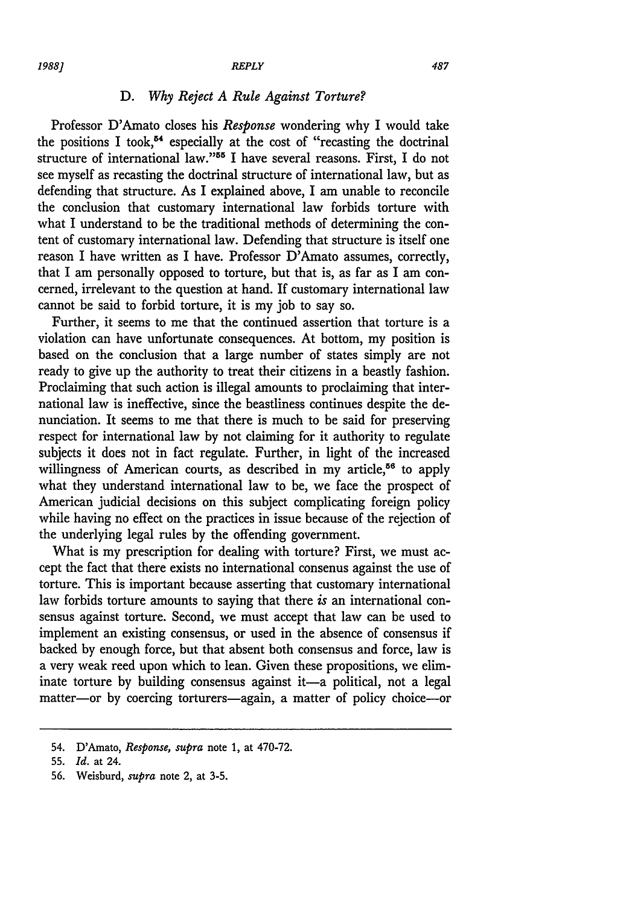#### *1988] REPLY*

## *D. Why Reject A Rule Against Torture?*

Professor D'Amato closes his *Response* wondering why I would take the positions I took,<sup>54</sup> especially at the cost of "recasting the doctrinal structure of international law."55 I have several reasons. First, I do not see myself as recasting the doctrinal structure of international law, but as defending that structure. As I explained above, I am unable to reconcile the conclusion that customary international law forbids torture with what I understand to be the traditional methods of determining the content of customary international law. Defending that structure is itself one reason I have written as I have. Professor D'Amato assumes, correctly, that I am personally opposed to torture, but that is, as far as I am concerned, irrelevant to the question at hand. If customary international law cannot be said to forbid torture, it is my job to say so.

Further, it seems to me that the continued assertion that torture is a violation can have unfortunate consequences. At bottom, my position is based on the conclusion that a large number of states simply are not ready to give up the authority to treat their citizens in a beastly fashion. Proclaiming that such action is illegal amounts to proclaiming that international law is ineffective, since the beastliness continues despite the denunciation. It seems to me that there is much to be said for preserving respect for international law by not claiming for it authority to regulate subjects it does not in fact regulate. Further, in light of the increased willingness of American courts, as described in my article,<sup> $56$ </sup> to apply what they understand international law to be, we face the prospect of American judicial decisions on this subject complicating foreign policy while having no effect on the practices in issue because of the rejection of the underlying legal rules by the offending government.

What is my prescription for dealing with torture? First, we must accept the fact that there exists no international consenus against the use of torture. This is important because asserting that customary international law forbids torture amounts to saying that there *is* an international consensus against torture. Second, we must accept that law can be used to implement an existing consensus, or used in the absence of consensus if backed by enough force, but that absent both consensus and force, law is a very weak reed upon which to lean. Given these propositions, we eliminate torture by building consensus against it-a political, not a legal matter-or by coercing torturers-again, a matter of policy choice-or

<sup>54.</sup> D'Amato, *Response, supra* note 1, at 470-72.

<sup>55.</sup> *Id.* at 24.

<sup>56.</sup> Weisburd, *supra* note 2, at 3-5.